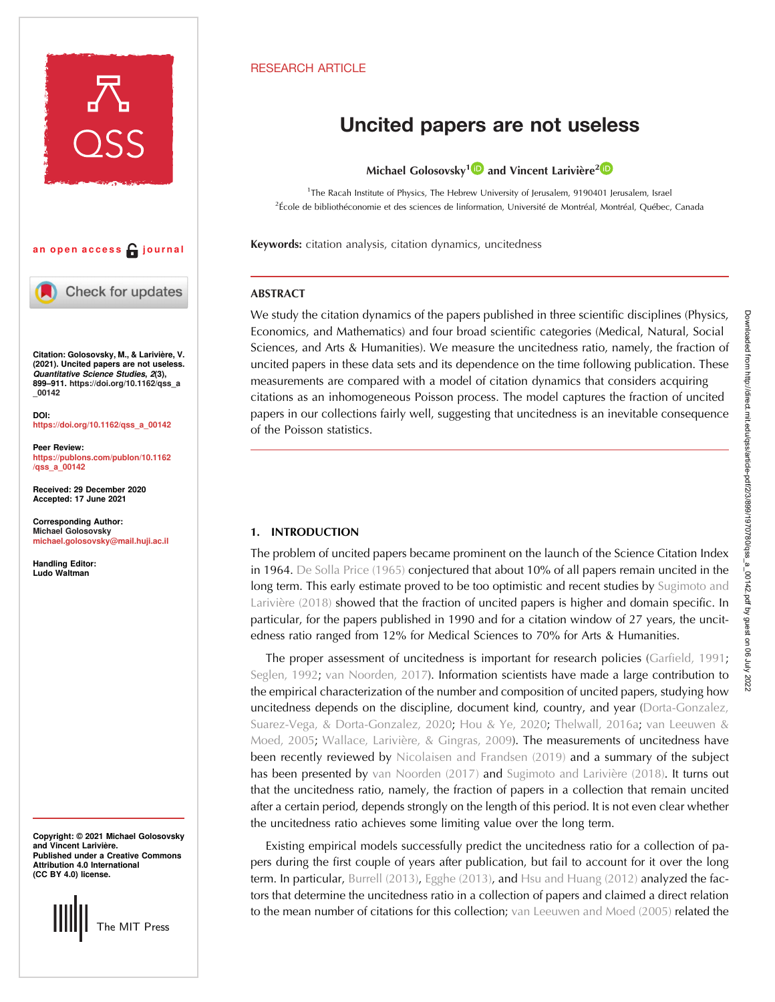

## an open access  $\bigcap$  journal



Check for updates

Citation: Golosovsky, M., & Larivière, V. (2021). Uncited papers are not useless. Quantitative Science Studies, 2(3), 899–911. [https://doi.org/10.1162/qss\\_a](https://doi.org/10.1162/qss_a_00142) [\\_00142](https://doi.org/10.1162/qss_a_00142)

DOI: [https://doi.org/10.1162/qss\\_a\\_00142](https://doi.org/10.1162/qss_a_00142)

Peer Review: [https://publons.com/publon/10.1162](https://publons.com/publon/10.1162/qss_a_00142) [/qss\\_a\\_00142](https://publons.com/publon/10.1162/qss_a_00142)

Received: 29 December 2020 Accepted: 17 June 2021

Corresponding Author: Michael Golosovsky [michael.golosovsky@mail.huji.ac.il](mailto:michael.golosovsky@mail.huji.ac.il)

Handling Editor: Ludo Waltman

Copyright: © 2021 Michael Golosovsky and Vincent Larivière. Published under a Creative Commons Attribution 4.0 International (CC BY 4.0) license.



# RESEARCH ARTICLE

# Uncited papers are not useless

Michael Golosovsky<sup>1</sup><sup>1</sup> and Vincent Larivière<sup>2</sup><sup>1</sup>

<sup>1</sup>The Racah Institute of Physics, The Hebrew University of Jerusalem, 9190401 Jerusalem, Israel 2 École de bibliothéconomie et des sciences de linformation, Université de Montréal, Montréal, Québec, Canada

Keywords: citation analysis, citation dynamics, uncitedness

# ABSTRACT

We study the citation dynamics of the papers published in three scientific disciplines (Physics, Economics, and Mathematics) and four broad scientific categories (Medical, Natural, Social Sciences, and Arts & Humanities). We measure the uncitedness ratio, namely, the fraction of uncited papers in these data sets and its dependence on the time following publication. These measurements are compared with a model of citation dynamics that considers acquiring citations as an inhomogeneous Poisson process. The model captures the fraction of uncited papers in our collections fairly well, suggesting that uncitedness is an inevitable consequence of the Poisson statistics.

# 1. INTRODUCTION

The problem of uncited papers became prominent on the launch of the Science Citation Index in 1964. [De Solla Price \(1965\)](#page-12-0) conjectured that about 10% of all papers remain uncited in the long term. This early estimate proved to be too optimistic and recent studies by [Sugimoto and](#page-12-0) [Larivière \(2018\)](#page-12-0) showed that the fraction of uncited papers is higher and domain specific. In particular, for the papers published in 1990 and for a citation window of 27 years, the uncitedness ratio ranged from 12% for Medical Sciences to 70% for Arts & Humanities.

The proper assessment of uncitedness is important for research policies [\(Garfield, 1991](#page-12-0); [Seglen, 1992](#page-12-0); [van Noorden, 2017](#page-12-0)). Information scientists have made a large contribution to the empirical characterization of the number and composition of uncited papers, studying how uncitedness depends on the discipline, document kind, country, and year [\(Dorta-Gonzalez,](#page-12-0) [Suarez-Vega, & Dorta-Gonzalez, 2020](#page-12-0); [Hou & Ye, 2020](#page-12-0); [Thelwall, 2016a;](#page-12-0) [van Leeuwen &](#page-12-0) [Moed, 2005;](#page-12-0) [Wallace, Larivière, & Gingras, 2009\)](#page-12-0). The measurements of uncitedness have been recently reviewed by [Nicolaisen and Frandsen \(2019\)](#page-12-0) and a summary of the subject has been presented by [van Noorden \(2017\)](#page-12-0) and [Sugimoto and Larivière \(2018\)](#page-12-0). It turns out that the uncitedness ratio, namely, the fraction of papers in a collection that remain uncited after a certain period, depends strongly on the length of this period. It is not even clear whether the uncitedness ratio achieves some limiting value over the long term.

Existing empirical models successfully predict the uncitedness ratio for a collection of papers during the first couple of years after publication, but fail to account for it over the long term. In particular, [Burrell \(2013\),](#page-12-0) [Egghe \(2013\),](#page-12-0) and [Hsu and Huang \(2012\)](#page-12-0) analyzed the factors that determine the uncitedness ratio in a collection of papers and claimed a direct relation to the mean number of citations for this collection; [van Leeuwen and Moed \(2005\)](#page-12-0) related the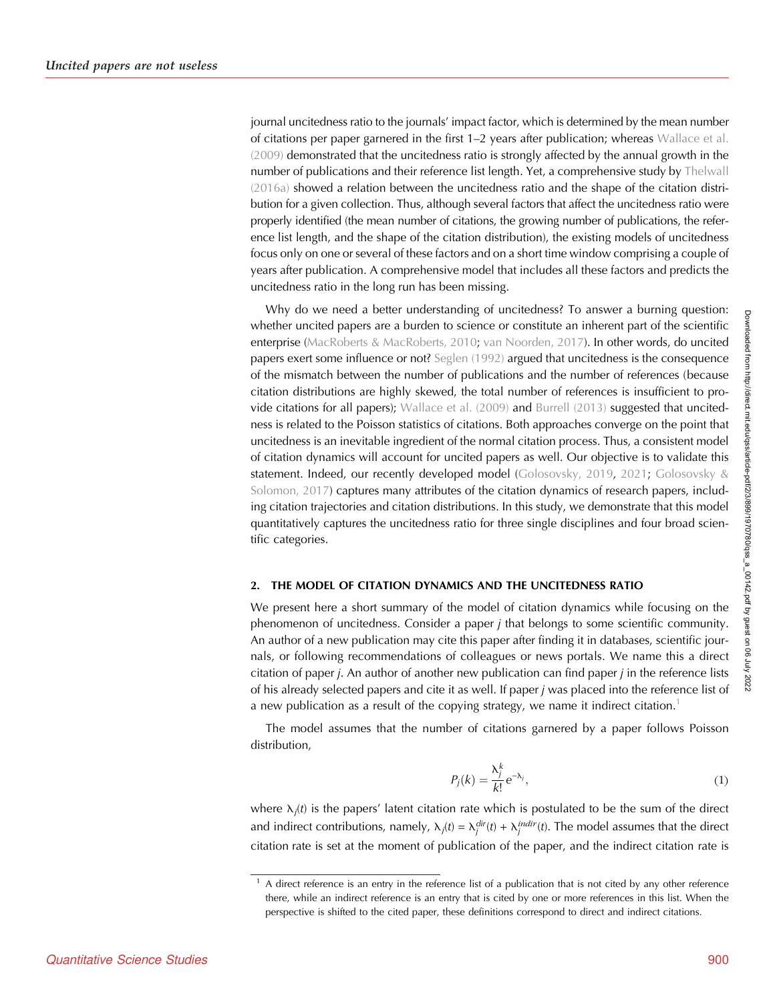journal uncitedness ratio to the journals' impact factor, which is determined by the mean number of citations per paper garnered in the first 1–2 years after publication; whereas [Wallace et al.](#page-12-0) [\(2009\)](#page-12-0) demonstrated that the uncitedness ratio is strongly affected by the annual growth in the number of publications and their reference list length. Yet, a comprehensive study by [Thelwall](#page-12-0) [\(2016a\)](#page-12-0) showed a relation between the uncitedness ratio and the shape of the citation distribution for a given collection. Thus, although several factors that affect the uncitedness ratio were properly identified (the mean number of citations, the growing number of publications, the reference list length, and the shape of the citation distribution), the existing models of uncitedness focus only on one or several of these factors and on a short time window comprising a couple of years after publication. A comprehensive model that includes all these factors and predicts the uncitedness ratio in the long run has been missing.

Why do we need a better understanding of uncitedness? To answer a burning question: whether uncited papers are a burden to science or constitute an inherent part of the scientific enterprise ([MacRoberts & MacRoberts, 2010;](#page-12-0) [van Noorden, 2017](#page-12-0)). In other words, do uncited papers exert some influence or not? [Seglen \(1992\)](#page-12-0) argued that uncitedness is the consequence of the mismatch between the number of publications and the number of references (because citation distributions are highly skewed, the total number of references is insufficient to provide citations for all papers); [Wallace et al. \(2009\)](#page-12-0) and [Burrell \(2013\)](#page-12-0) suggested that uncitedness is related to the Poisson statistics of citations. Both approaches converge on the point that uncitedness is an inevitable ingredient of the normal citation process. Thus, a consistent model of citation dynamics will account for uncited papers as well. Our objective is to validate this statement. Indeed, our recently developed model ([Golosovsky, 2019,](#page-12-0) [2021;](#page-12-0) [Golosovsky &](#page-12-0) [Solomon, 2017](#page-12-0)) captures many attributes of the citation dynamics of research papers, including citation trajectories and citation distributions. In this study, we demonstrate that this model quantitatively captures the uncitedness ratio for three single disciplines and four broad scientific categories.

# 2. THE MODEL OF CITATION DYNAMICS AND THE UNCITEDNESS RATIO

We present here a short summary of the model of citation dynamics while focusing on the phenomenon of uncitedness. Consider a paper j that belongs to some scientific community. An author of a new publication may cite this paper after finding it in databases, scientific journals, or following recommendations of colleagues or news portals. We name this a direct citation of paper *j*. An author of another new publication can find paper *j* in the reference lists of his already selected papers and cite it as well. If paper j was placed into the reference list of a new publication as a result of the copying strategy, we name it indirect citation.<sup>1</sup>

The model assumes that the number of citations garnered by a paper follows Poisson distribution,

$$
P_j(k) = \frac{\lambda_j^k}{k!} e^{-\lambda_j},\tag{1}
$$

where  $\lambda_j(t)$  is the papers' latent citation rate which is postulated to be the sum of the direct and indirect contributions, namely,  $\lambda_j(t) = \lambda_j^{dir}(t) + \lambda_j^{indir}(t)$ . The model assumes that the direct citation rate is set at the moment of publication of the paper, and the indirect citation rate is

 $1$  A direct reference is an entry in the reference list of a publication that is not cited by any other reference there, while an indirect reference is an entry that is cited by one or more references in this list. When the perspective is shifted to the cited paper, these definitions correspond to direct and indirect citations.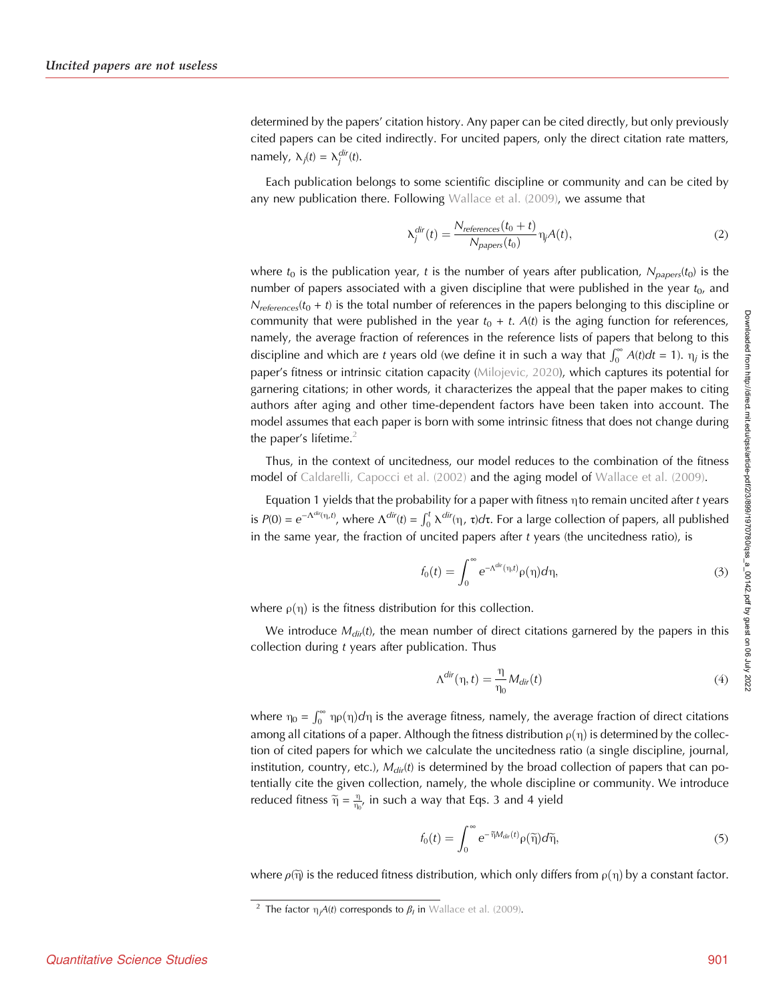determined by the papers' citation history. Any paper can be cited directly, but only previously cited papers can be cited indirectly. For uncited papers, only the direct citation rate matters, namely,  $\lambda_j(t) = \lambda_j^{dir}(t)$ .

Each publication belongs to some scientific discipline or community and can be cited by any new publication there. Following [Wallace et al. \(2009\),](#page-12-0) we assume that

$$
\lambda_j^{dir}(t) = \frac{N_{references}(t_0 + t)}{N_{papers}(t_0)} \eta_j A(t),
$$
\n(2)

where  $t_0$  is the publication year, t is the number of years after publication,  $N_{\text{coper}}(t_0)$  is the number of papers associated with a given discipline that were published in the year  $t_0$ , and  $N_{references}(t_0 + t)$  is the total number of references in the papers belonging to this discipline or community that were published in the year  $t_0 + t$ . A(t) is the aging function for references, namely, the average fraction of references in the reference lists of papers that belong to this discipline and which are t years old (we define it in such a way that  $\int_0^\infty A(t)dt = 1$ ).  $\eta_j$  is the paper's fitness or intrinsic citation capacity [\(Milojevic, 2020\)](#page-12-0), which captures its potential for garnering citations; in other words, it characterizes the appeal that the paper makes to citing authors after aging and other time-dependent factors have been taken into account. The model assumes that each paper is born with some intrinsic fitness that does not change during the paper's lifetime.<sup>2</sup>

Thus, in the context of uncitedness, our model reduces to the combination of the fitness model of [Caldarelli, Capocci et al. \(2002\)](#page-12-0) and the aging model of [Wallace et al. \(2009\).](#page-12-0)

Equation 1 yields that the probability for a paper with fitness  $\eta$  to remain uncited after t years is  $P(0) = e^{-\Lambda^{dir}(\eta,t)}$ , where  $\Lambda^{dir}(t) = \int_0^t \lambda^{dir}(\eta,\tau)d\tau$ . For a large collection of papers, all published in the same year, the fraction of uncited papers after  $t$  years (the uncitedness ratio), is

$$
f_0(t) = \int_0^\infty e^{-\Lambda^{dir}(\eta, t)} \rho(\eta) d\eta,
$$
 (3)

where  $\rho(\eta)$  is the fitness distribution for this collection.

We introduce  $M_{dir}(t)$ , the mean number of direct citations garnered by the papers in this collection during  $t$  years after publication. Thus

$$
\Lambda^{dir}(\eta, t) = \frac{\eta}{\eta_0} M_{dir}(t)
$$
\n(4)

where  $\eta_0 = \int_0^\infty \eta \rho(\eta) d\eta$  is the average fitness, namely, the average fraction of direct citations among all citations of a paper. Although the fitness distribution  $\rho(\eta)$  is determined by the collection of cited papers for which we calculate the uncitedness ratio (a single discipline, journal, institution, country, etc.),  $M_{dir}(t)$  is determined by the broad collection of papers that can potentially cite the given collection, namely, the whole discipline or community. We introduce reduced fitness  $\widetilde{\eta} = \frac{\eta}{\eta_0}$ , in such a way that Eqs. 3 and 4 yield

$$
f_0(t) = \int_0^\infty e^{-\widetilde{\eta}M_{dir}(t)} \rho(\widetilde{\eta}) d\widetilde{\eta},\tag{5}
$$

where  $\rho(\tilde{\eta})$  is the reduced fitness distribution, which only differs from  $\rho(\eta)$  by a constant factor.

<sup>&</sup>lt;sup>2</sup> The factor  $\eta_j A(t)$  corresponds to  $\beta_l$  in [Wallace et al. \(2009\).](#page-12-0)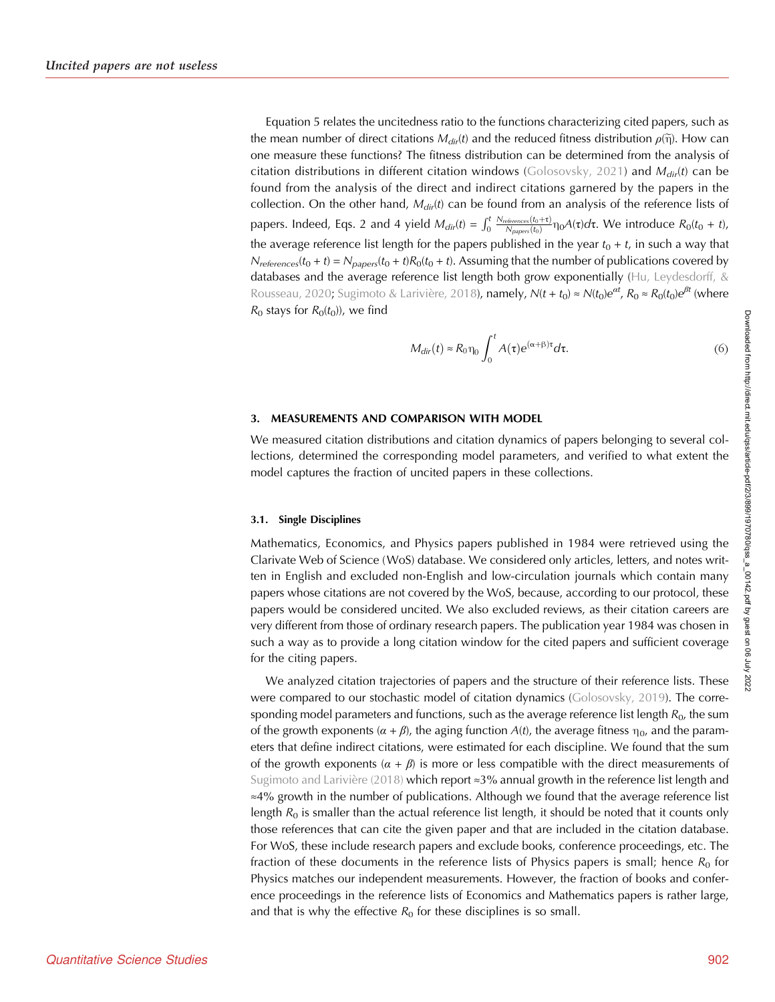Equation 5 relates the uncitedness ratio to the functions characterizing cited papers, such as the mean number of direct citations  $M_{dir}(t)$  and the reduced fitness distribution  $\rho(\tilde{\eta})$ . How can one measure these functions? The fitness distribution can be determined from the analysis of citation distributions in different citation windows ([Golosovsky, 2021](#page-12-0)) and  $M_{dir}(t)$  can be found from the analysis of the direct and indirect citations garnered by the papers in the collection. On the other hand,  $M_{dir}(t)$  can be found from an analysis of the reference lists of papers. Indeed, Eqs. 2 and 4 yield  $M_{dir}(t) = \int_0^t \frac{N_{references}(t_0+\tau)}{N_{paper}(t_0)} \eta_0 A(\tau) d\tau$ . We introduce  $R_0(t_0 + t)$ , the average reference list length for the papers published in the year  $t_0 + t$ , in such a way that  $N_{references}(t_0 + t) = N_{papers}(t_0 + t)R_0(t_0 + t)$ . Assuming that the number of publications covered by databases and the average reference list length both grow exponentially ([Hu, Leydesdorff, &](#page-12-0) [Rousseau, 2020;](#page-12-0) [Sugimoto & Larivière, 2018\)](#page-12-0), namely,  $N(t+t_0)\approx N(t_0)e^{\alpha t}$ ,  $R_0\approx R_0(t_0)e^{\beta t}$  (where  $R_0$  stays for  $R_0(t_0)$ , we find

$$
M_{dir}(t) \approx R_0 \eta_0 \int_0^t A(\tau) e^{(\alpha+\beta)\tau} d\tau.
$$
 (6)

#### 3. MEASUREMENTS AND COMPARISON WITH MODEL

We measured citation distributions and citation dynamics of papers belonging to several collections, determined the corresponding model parameters, and verified to what extent the model captures the fraction of uncited papers in these collections.

#### 3.1. Single Disciplines

Mathematics, Economics, and Physics papers published in 1984 were retrieved using the Clarivate Web of Science (WoS) database. We considered only articles, letters, and notes written in English and excluded non-English and low-circulation journals which contain many papers whose citations are not covered by the WoS, because, according to our protocol, these papers would be considered uncited. We also excluded reviews, as their citation careers are very different from those of ordinary research papers. The publication year 1984 was chosen in such a way as to provide a long citation window for the cited papers and sufficient coverage for the citing papers.

We analyzed citation trajectories of papers and the structure of their reference lists. These were compared to our stochastic model of citation dynamics [\(Golosovsky, 2019\)](#page-12-0). The corresponding model parameters and functions, such as the average reference list length  $R_0$ , the sum of the growth exponents ( $\alpha + \beta$ ), the aging function A(t), the average fitness  $\eta_0$ , and the parameters that define indirect citations, were estimated for each discipline. We found that the sum of the growth exponents ( $\alpha + \beta$ ) is more or less compatible with the direct measurements of [Sugimoto and Larivière \(2018\)](#page-12-0) which report ≈3% annual growth in the reference list length and ≈4% growth in the number of publications. Although we found that the average reference list length  $R_0$  is smaller than the actual reference list length, it should be noted that it counts only those references that can cite the given paper and that are included in the citation database. For WoS, these include research papers and exclude books, conference proceedings, etc. The fraction of these documents in the reference lists of Physics papers is small; hence  $R_0$  for Physics matches our independent measurements. However, the fraction of books and conference proceedings in the reference lists of Economics and Mathematics papers is rather large, and that is why the effective  $R_0$  for these disciplines is so small.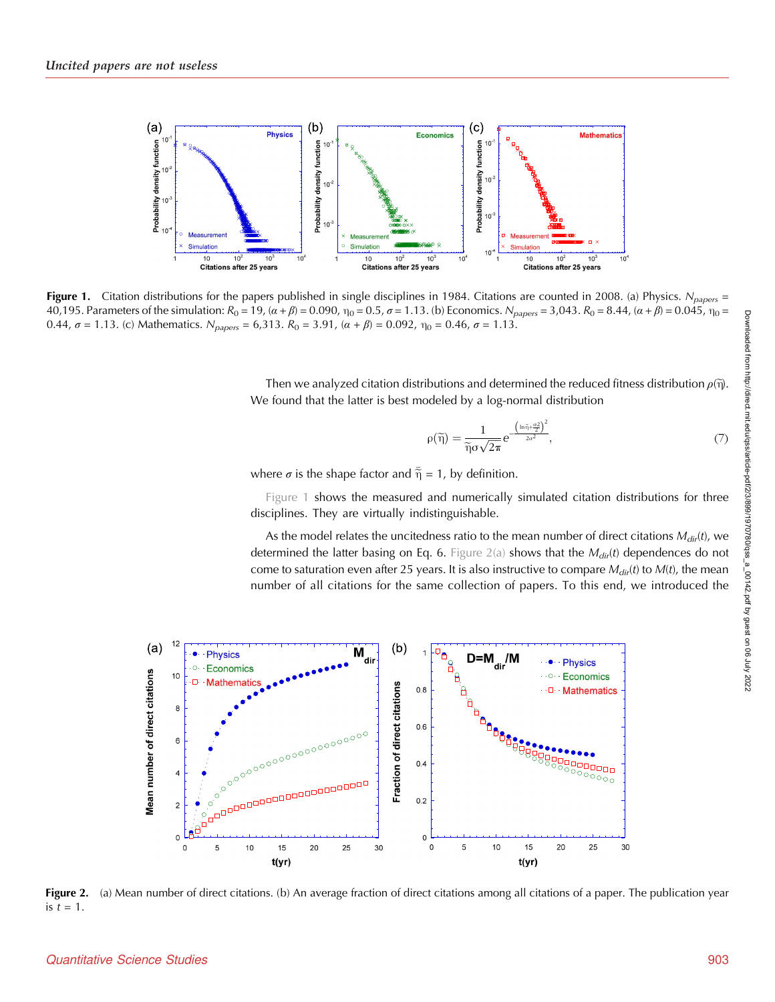<span id="page-4-0"></span>

Figure 1. Citation distributions for the papers published in single disciplines in 1984. Citations are counted in 2008. (a) Physics.  $N_{papers}$  = 40,195. Parameters of the simulation:  $R_0 = 19$ ,  $(α + β) = 0.090$ ,  $η_0 = 0.5$ ,  $σ = 1.13$ . (b) Economics.  $N_{papers} = 3,043$ .  $R_0 = 8.44$ ,  $(α + β) = 0.045$ ,  $η_0 =$ 0.44,  $\sigma$  = 1.13. (c) Mathematics.  $N_{papers}$  = 6,313.  $R_0$  = 3.91, (α + β) = 0.092,  $η_0$  = 0.46,  $\sigma$  = 1.13.

Then we analyzed citation distributions and determined the reduced fitness distribution  $\rho(\vec{\eta})$ . We found that the latter is best modeled by a log-normal distribution

$$
\rho(\widetilde{\eta}) = \frac{1}{\widetilde{\eta}\sigma\sqrt{2\pi}} e^{-\frac{\left(\ln \widetilde{\eta} + \frac{\sigma^2}{2}\right)^2}{2\sigma^2}},\tag{7}
$$

where  $\sigma$  is the shape factor and  $\tilde{\overline{\eta}} = 1$ , by definition.

Figure 1 shows the measured and numerically simulated citation distributions for three disciplines. They are virtually indistinguishable.

As the model relates the uncitedness ratio to the mean number of direct citations  $M_{dir}(t)$ , we determined the latter basing on Eq. 6. Figure 2(a) shows that the  $M_{dir}(t)$  dependences do not come to saturation even after 25 years. It is also instructive to compare  $M_{dif}(t)$  to  $M(t)$ , the mean number of all citations for the same collection of papers. To this end, we introduced the



Figure 2. (a) Mean number of direct citations. (b) An average fraction of direct citations among all citations of a paper. The publication year is  $t = 1$ .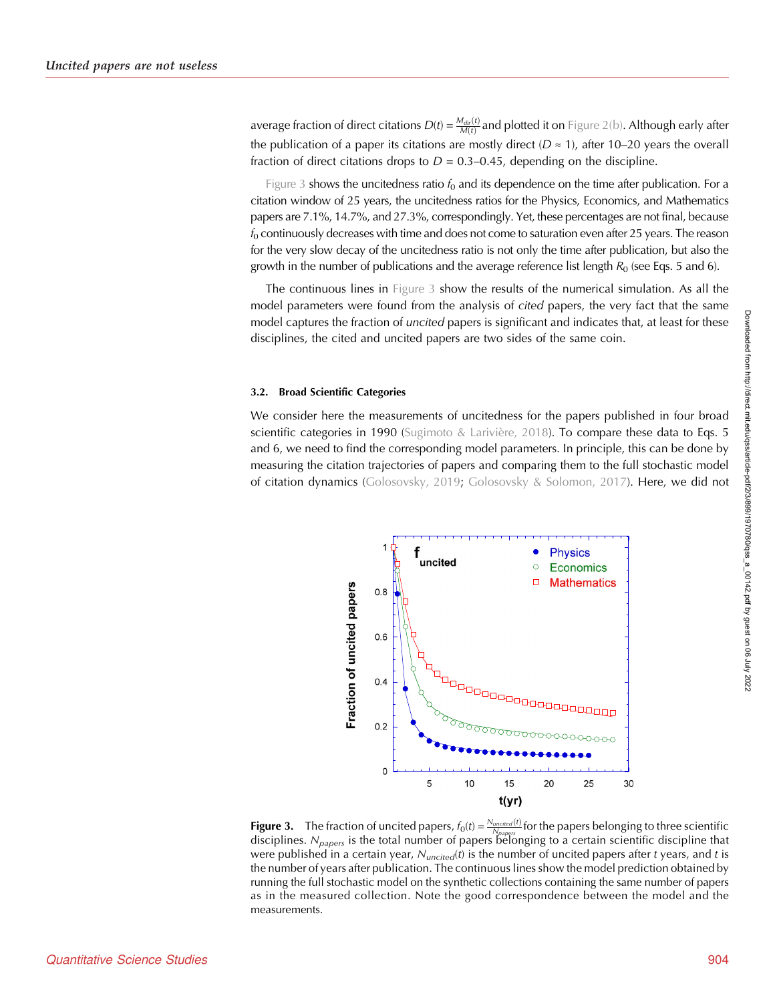<span id="page-5-0"></span>average fraction of direct citations  $D(t) = \frac{M_{dir}(t)}{M(t)}$  and plotted it on [Figure 2\(b\)](#page-4-0). Although early after the publication of a paper its citations are mostly direct ( $D \approx 1$ ), after 10–20 years the overall fraction of direct citations drops to  $D = 0.3{\text -}0.45$ , depending on the discipline.

Figure 3 shows the uncitedness ratio  $f_0$  and its dependence on the time after publication. For a citation window of 25 years, the uncitedness ratios for the Physics, Economics, and Mathematics papers are 7.1%, 14.7%, and 27.3%, correspondingly. Yet, these percentages are not final, because  $f<sub>0</sub>$  continuously decreases with time and does not come to saturation even after 25 years. The reason for the very slow decay of the uncitedness ratio is not only the time after publication, but also the growth in the number of publications and the average reference list length  $R_0$  (see Eqs. 5 and 6).

The continuous lines in Figure 3 show the results of the numerical simulation. As all the model parameters were found from the analysis of cited papers, the very fact that the same model captures the fraction of *uncited* papers is significant and indicates that, at least for these disciplines, the cited and uncited papers are two sides of the same coin.

#### 3.2. Broad Scientific Categories

We consider here the measurements of uncitedness for the papers published in four broad scientific categories in 1990 ([Sugimoto & Larivière, 2018](#page-12-0)). To compare these data to Eqs. 5 and 6, we need to find the corresponding model parameters. In principle, this can be done by measuring the citation trajectories of papers and comparing them to the full stochastic model of citation dynamics ([Golosovsky, 2019;](#page-12-0) [Golosovsky & Solomon, 2017](#page-12-0)). Here, we did not



**Figure 3.** The fraction of uncited papers,  $f_0(t) = \frac{N_{uncited}(t)}{N_{papers}}$  for the papers belonging to three scientific disciplines.  $N_{papers}$  is the total number of papers belonging to a certain scientific discipline that were published in a certain year,  $N_{uncited}(t)$  is the number of uncited papers after t years, and t is the number of years after publication. The continuous lines show the model prediction obtained by running the full stochastic model on the synthetic collections containing the same number of papers as in the measured collection. Note the good correspondence between the model and the measurements.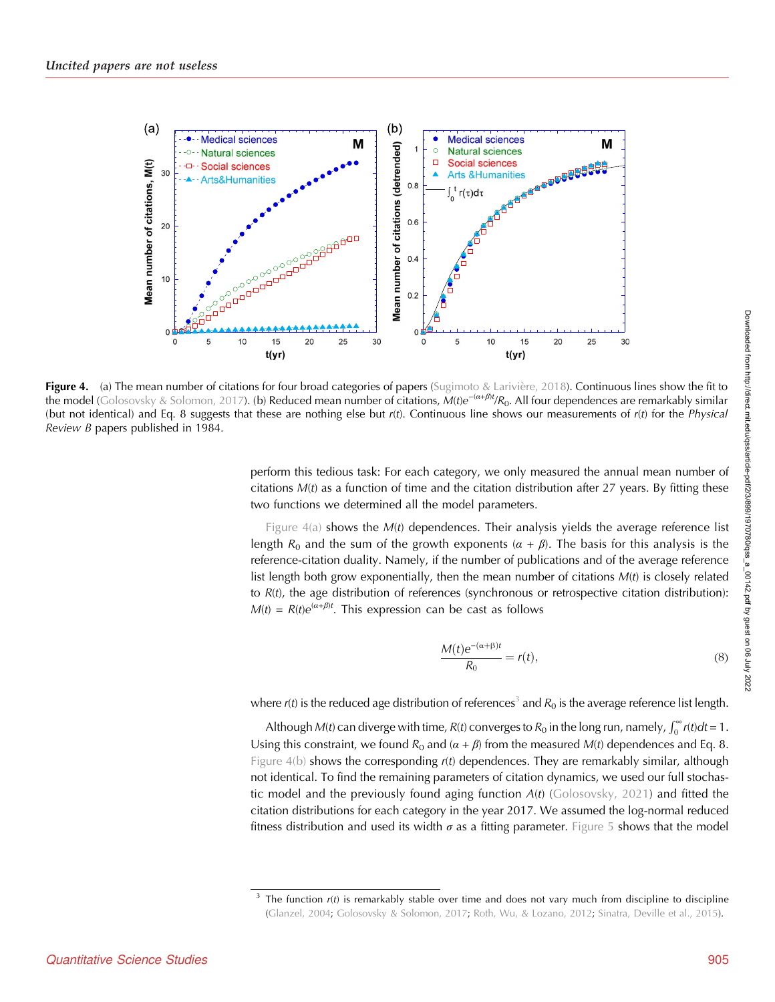<span id="page-6-0"></span>

Figure 4. (a) The mean number of citations for four broad categories of papers ([Sugimoto & Larivière, 2018\)](#page-12-0). Continuous lines show the fit to the model ([Golosovsky & Solomon, 2017\)](#page-12-0). (b) Reduced mean number of citations, M(t)e<sup>-(α+β)t</sup>/R<sub>0</sub>. All four dependences are remarkably similar (but not identical) and Eq. 8 suggests that these are nothing else but  $r(t)$ . Continuous line shows our measurements of  $r(t)$  for the Physical Review B papers published in 1984.

perform this tedious task: For each category, we only measured the annual mean number of citations  $M(t)$  as a function of time and the citation distribution after 27 years. By fitting these two functions we determined all the model parameters.

Figure  $4(a)$  shows the  $M(t)$  dependences. Their analysis yields the average reference list length  $R_0$  and the sum of the growth exponents  $(\alpha + \beta)$ . The basis for this analysis is the reference-citation duality. Namely, if the number of publications and of the average reference list length both grow exponentially, then the mean number of citations  $M(t)$  is closely related to  $R(t)$ , the age distribution of references (synchronous or retrospective citation distribution):  $M(t) = R(t)e^{(\alpha+\beta)t}$ . This expression can be cast as follows

$$
\frac{M(t)e^{-(\alpha+\beta)t}}{R_0} = r(t),\tag{8}
$$

where  $r(t)$  is the reduced age distribution of references<sup>3</sup> and  $R_0$  is the average reference list length.

Although M(t) can diverge with time, R(t) converges to R<sub>0</sub> in the long run, namely,  $\int_0^\infty r(t)dt = 1$ . Using this constraint, we found  $R_0$  and  $(\alpha + \beta)$  from the measured M(t) dependences and Eq. 8. Figure  $4(b)$  shows the corresponding  $r(t)$  dependences. They are remarkably similar, although not identical. To find the remaining parameters of citation dynamics, we used our full stochastic model and the previously found aging function  $A(t)$  ([Golosovsky, 2021](#page-12-0)) and fitted the citation distributions for each category in the year 2017. We assumed the log-normal reduced fitness distribution and used its width  $\sigma$  as a fitting parameter. [Figure 5](#page-7-0) shows that the model

 $3$  The function  $r(t)$  is remarkably stable over time and does not vary much from discipline to discipline [\(Glanzel, 2004](#page-12-0); [Golosovsky & Solomon, 2017](#page-12-0); [Roth, Wu, & Lozano, 2012](#page-12-0); [Sinatra, Deville et al., 2015\)](#page-12-0).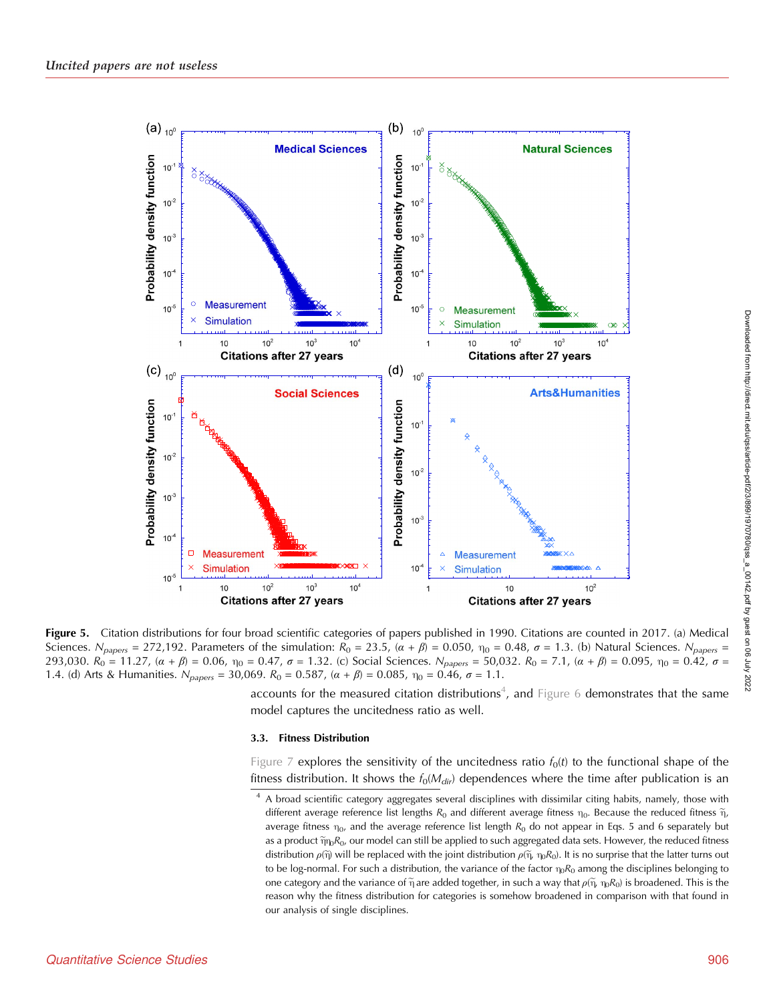<span id="page-7-0"></span>

Figure 5. Citation distributions for four broad scientific categories of papers published in 1990. Citations are counted in 2017. (a) Medical Sciences. N<sub>papers</sub> = 272,192. Parameters of the simulation:  $R_0 = 23.5$ ,  $(\alpha + \beta) = 0.050$ ,  $\eta_0 = 0.48$ ,  $\sigma = 1.3$ . (b) Natural Sciences. N<sub>papers</sub> = 293,030.  $R_0 = 11.27$ ,  $(\alpha + \beta) = 0.06$ ,  $\eta_0 = 0.47$ ,  $\sigma = 1.32$ . (c) Social Sciences.  $N_{papers} = 50.032$ .  $R_0 = 7.1$ ,  $(\alpha + \beta) = 0.095$ ,  $\eta_0 = 0.42$ ,  $\sigma =$ 1.4. (d) Arts & Humanities.  $N_{papers} = 30,069$ .  $R_0 = 0.587$ ,  $(\alpha + \beta) = 0.085$ ,  $\eta_0 = 0.46$ ,  $\sigma = 1.1$ .

accounts for the measured citation distributions<sup>4</sup>, and [Figure 6](#page-8-0) demonstrates that the same model captures the uncitedness ratio as well.

## 3.3. Fitness Distribution

[Figure 7](#page-8-0) explores the sensitivity of the uncitedness ratio  $f_0(t)$  to the functional shape of the fitness distribution. It shows the  $f_0(M_{dir})$  dependences where the time after publication is an

<sup>&</sup>lt;sup>4</sup> A broad scientific category aggregates several disciplines with dissimilar citing habits, namely, those with different average reference list lengths  $R_0$  and different average fitness  $\eta_0$ . Because the reduced fitness  $\tilde{\eta}$ , average fitness  $\eta_0$ , and the average reference list length  $R_0$  do not appear in Eqs. 5 and 6 separately but as a product  $\tilde{\eta}_{\rm{ID}}R_0$ , our model can still be applied to such aggregated data sets. However, the reduced fitness distribution  $\rho(\tilde{\eta})$  will be replaced with the joint distribution  $\rho(\tilde{\eta}, \eta_0 R_0)$ . It is no surprise that the latter turns out to be log-normal. For such a distribution, the variance of the factor  $\eta_0R_0$  among the disciplines belonging to one category and the variance of  $\tilde{\eta}$  are added together, in such a way that  $\rho(\tilde{\eta}, \eta_0 R_0)$  is broadened. This is the reason why the fitness distribution for categories is somehow broadened in comparison with that found in our analysis of single disciplines.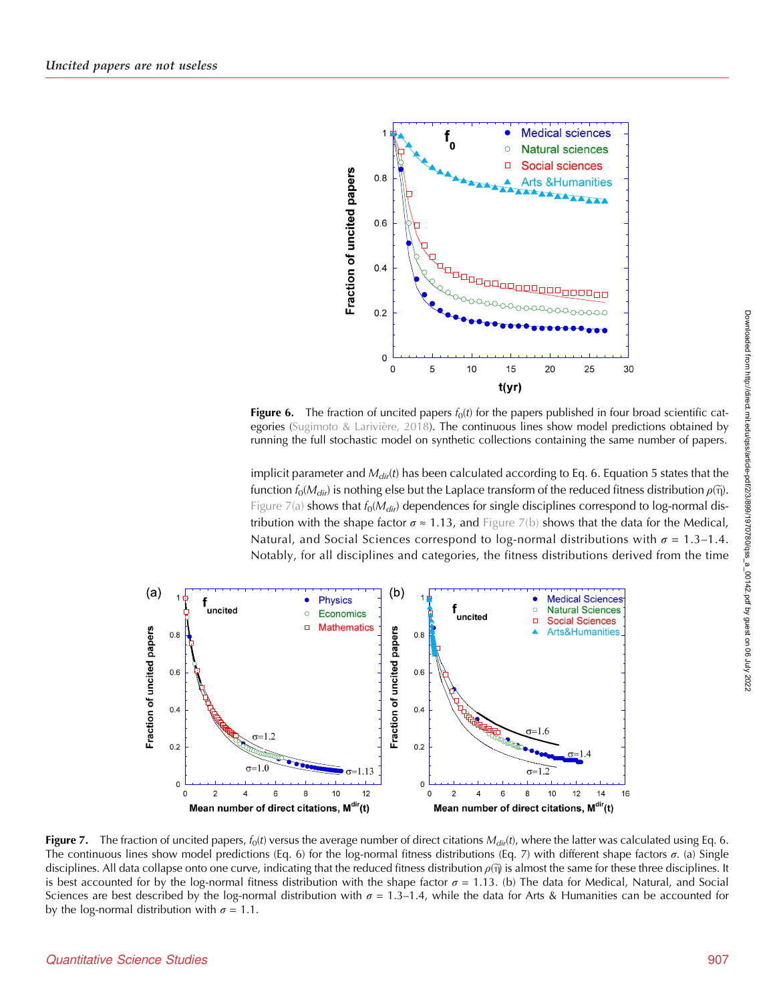<span id="page-8-0"></span>

Figure 6. The fraction of uncited papers  $f_0(t)$  for the papers published in four broad scientific categories [\(Sugimoto & Larivière, 2018](#page-12-0)). The continuous lines show model predictions obtained by running the full stochastic model on synthetic collections containing the same number of papers.

implicit parameter and  $M_{dif}(t)$  has been calculated according to Eq. 6. Equation 5 states that the function  $f_0(M_{dir})$  is nothing else but the Laplace transform of the reduced fitness distribution  $\rho(\tilde{\eta})$ . Figure 7(a) shows that  $f_0(M_{dir})$  dependences for single disciplines correspond to log-normal distribution with the shape factor  $\sigma \approx 1.13$ , and Figure 7(b) shows that the data for the Medical, Natural, and Social Sciences correspond to log-normal distributions with  $\sigma = 1.3-1.4$ . Notably, for all disciplines and categories, the fitness distributions derived from the time



Figure 7. The fraction of uncited papers,  $f_0(t)$  versus the average number of direct citations  $M_{dif}(t)$ , where the latter was calculated using Eq. 6. The continuous lines show model predictions (Eq. 6) for the log-normal fitness distributions (Eq. 7) with different shape factors  $σ$ . (a) Single disciplines. All data collapse onto one curve, indicating that the reduced fitness distribution  $\rho(\tilde{\eta})$  is almost the same for these three disciplines. It is best accounted for by the log-normal fitness distribution with the shape factor  $\sigma = 1.13$ . (b) The data for Medical, Natural, and Social Sciences are best described by the log-normal distribution with  $\sigma = 1.3-1.4$ , while the data for Arts & Humanities can be accounted for by the log-normal distribution with  $\sigma = 1.1$ .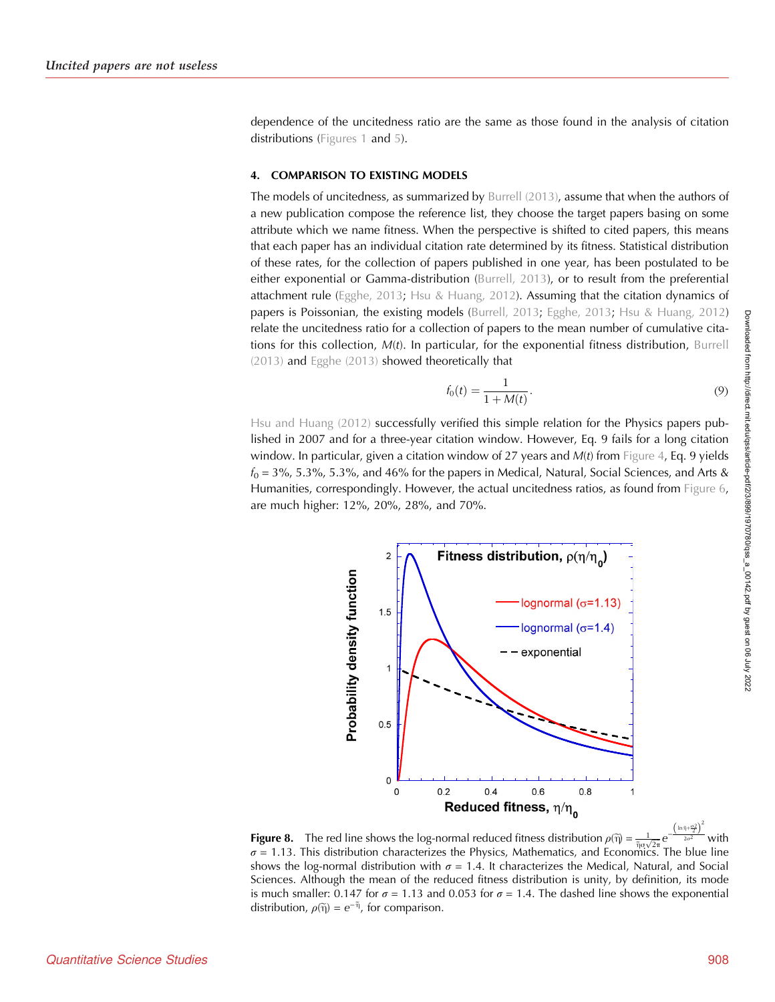<span id="page-9-0"></span>dependence of the uncitedness ratio are the same as those found in the analysis of citation distributions [\(Figures 1](#page-4-0) and [5](#page-7-0)).

## 4. COMPARISON TO EXISTING MODELS

The models of uncitedness, as summarized by [Burrell \(2013\)](#page-12-0), assume that when the authors of a new publication compose the reference list, they choose the target papers basing on some attribute which we name fitness. When the perspective is shifted to cited papers, this means that each paper has an individual citation rate determined by its fitness. Statistical distribution of these rates, for the collection of papers published in one year, has been postulated to be either exponential or Gamma-distribution ([Burrell, 2013](#page-12-0)), or to result from the preferential attachment rule ([Egghe, 2013;](#page-12-0) [Hsu & Huang, 2012\)](#page-12-0). Assuming that the citation dynamics of papers is Poissonian, the existing models [\(Burrell, 2013](#page-12-0); [Egghe, 2013](#page-12-0); [Hsu & Huang, 2012](#page-12-0)) relate the uncitedness ratio for a collection of papers to the mean number of cumulative citations for this collection,  $M(t)$ . In particular, for the exponential fitness distribution, [Burrell](#page-12-0) [\(2013\)](#page-12-0) and [Egghe \(2013\)](#page-12-0) showed theoretically that

$$
f_0(t) = \frac{1}{1 + M(t)}.
$$
\n(9)

[Hsu and Huang \(2012\)](#page-12-0) successfully verified this simple relation for the Physics papers published in 2007 and for a three-year citation window. However, Eq. 9 fails for a long citation window. In particular, given a citation window of 27 years and  $M(t)$  from [Figure 4](#page-6-0), Eq. 9 yields  $f_0 = 3\%$ , 5.3%, 5.3%, and 46% for the papers in Medical, Natural, Social Sciences, and Arts & Humanities, correspondingly. However, the actual uncitedness ratios, as found from [Figure 6](#page-8-0), are much higher: 12%, 20%, 28%, and 70%.



**Figure 8.** The red line shows the log-normal reduced fitness distribution  $\rho(\tilde{\eta}) = \frac{1}{\tilde{\eta}q\sqrt{2\pi}} e^{-\frac{(\ln\tilde{\eta}+\frac{q\chi}{2})}{2\tilde{\eta}q\sqrt{2\pi}}}$  with  $\left(\ln \frac{\pi}{2}\right)$  $\sigma$  = 1.13. This distribution characterizes the Physics, Mathematics, and Economics. The blue line shows the log-normal distribution with  $\sigma = 1.4$ . It characterizes the Medical, Natural, and Social Sciences. Although the mean of the reduced fitness distribution is unity, by definition, its mode is much smaller: 0.147 for  $\sigma = 1.13$  and 0.053 for  $\sigma = 1.4$ . The dashed line shows the exponential distribution,  $\rho(\tilde{\eta}) = e^{-\tilde{\eta}}$ , for comparison.

2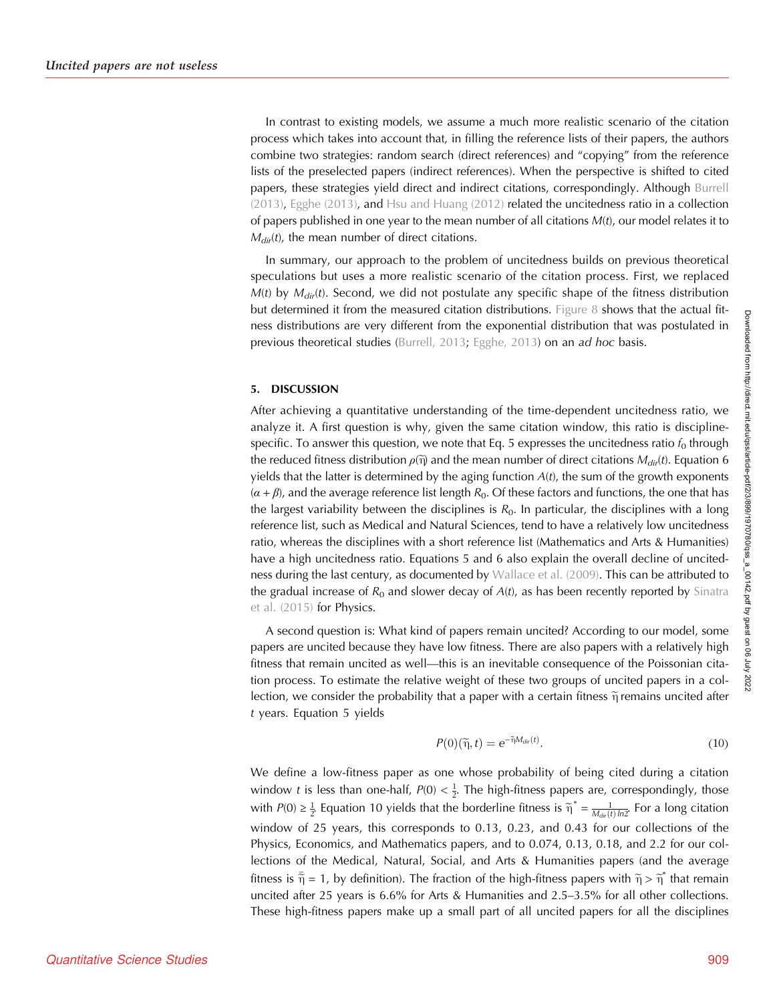In contrast to existing models, we assume a much more realistic scenario of the citation process which takes into account that, in filling the reference lists of their papers, the authors combine two strategies: random search (direct references) and "copying" from the reference lists of the preselected papers (indirect references). When the perspective is shifted to cited papers, these strategies yield direct and indirect citations, correspondingly. Although [Burrell](#page-12-0)  $(2013)$ , Egghe  $(2013)$ , and Hsu and Huang  $(2012)$  related the uncitedness ratio in a collection of papers published in one year to the mean number of all citations  $M(t)$ , our model relates it to  $M_{dir}(t)$ , the mean number of direct citations.

In summary, our approach to the problem of uncitedness builds on previous theoretical speculations but uses a more realistic scenario of the citation process. First, we replaced  $M(t)$  by  $M_{dir}(t)$ . Second, we did not postulate any specific shape of the fitness distribution but determined it from the measured citation distributions. [Figure 8](#page-9-0) shows that the actual fitness distributions are very different from the exponential distribution that was postulated in previous theoretical studies ([Burrell, 2013](#page-12-0); [Egghe, 2013\)](#page-12-0) on an ad hoc basis.

#### 5. DISCUSSION

After achieving a quantitative understanding of the time-dependent uncitedness ratio, we analyze it. A first question is why, given the same citation window, this ratio is disciplinespecific. To answer this question, we note that Eq. 5 expresses the uncitedness ratio  $f_0$  through the reduced fitness distribution  $\rho(\tilde{\eta})$  and the mean number of direct citations  $M_{dif}(t)$ . Equation 6 yields that the latter is determined by the aging function  $A(t)$ , the sum of the growth exponents  $(\alpha + \beta)$ , and the average reference list length  $R_0$ . Of these factors and functions, the one that has the largest variability between the disciplines is  $R_0$ . In particular, the disciplines with a long reference list, such as Medical and Natural Sciences, tend to have a relatively low uncitedness ratio, whereas the disciplines with a short reference list (Mathematics and Arts & Humanities) have a high uncitedness ratio. Equations 5 and 6 also explain the overall decline of uncitedness during the last century, as documented by [Wallace et al. \(2009\)](#page-12-0). This can be attributed to the gradual increase of  $R_0$  and slower decay of  $A(t)$ , as has been recently reported by [Sinatra](#page-12-0) [et al. \(2015\)](#page-12-0) for Physics.

A second question is: What kind of papers remain uncited? According to our model, some papers are uncited because they have low fitness. There are also papers with a relatively high fitness that remain uncited as well—this is an inevitable consequence of the Poissonian citation process. To estimate the relative weight of these two groups of uncited papers in a collection, we consider the probability that a paper with a certain fitness  $\tilde{\eta}$  remains uncited after t years. Equation 5 yields

$$
P(0)(\widetilde{\eta},t) = e^{-\widetilde{\eta}M_{dir}(t)}.
$$
\n(10)

We define a low-fitness paper as one whose probability of being cited during a citation window t is less than one-half,  $P(0) < \frac{1}{2}$ . The high-fitness papers are, correspondingly, those with  $P(0) \ge \frac{1}{2}$  Equation 10 yields that the borderline fitness is  $\tilde{\eta}^* = \frac{1}{M_{dir}(t) \ln 2}$ . For a long citation window of 25 years, this corresponds to 0.13, 0.23, and 0.43 for our collections of the Physics, Economics, and Mathematics papers, and to 0.074, 0.13, 0.18, and 2.2 for our collections of the Medical, Natural, Social, and Arts & Humanities papers (and the average fitness is  $\tilde{\eta} = 1$ , by definition). The fraction of the high-fitness papers with  $\tilde{\eta} > \tilde{\eta}^*$  that remain uncited after 25 years is 6.6% for Arts & Humanities and 2.5–3.5% for all other collections. These high-fitness papers make up a small part of all uncited papers for all the disciplines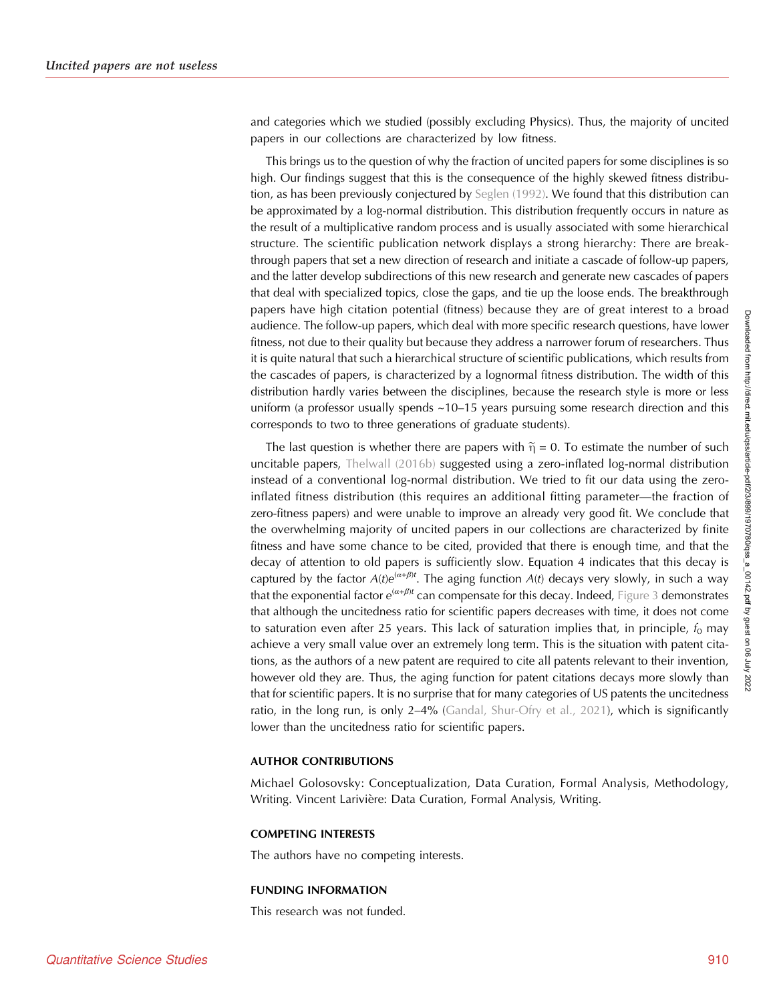and categories which we studied (possibly excluding Physics). Thus, the majority of uncited papers in our collections are characterized by low fitness.

This brings us to the question of why the fraction of uncited papers for some disciplines is so high. Our findings suggest that this is the consequence of the highly skewed fitness distribution, as has been previously conjectured by [Seglen \(1992\).](#page-12-0) We found that this distribution can be approximated by a log-normal distribution. This distribution frequently occurs in nature as the result of a multiplicative random process and is usually associated with some hierarchical structure. The scientific publication network displays a strong hierarchy: There are breakthrough papers that set a new direction of research and initiate a cascade of follow-up papers, and the latter develop subdirections of this new research and generate new cascades of papers that deal with specialized topics, close the gaps, and tie up the loose ends. The breakthrough papers have high citation potential (fitness) because they are of great interest to a broad audience. The follow-up papers, which deal with more specific research questions, have lower fitness, not due to their quality but because they address a narrower forum of researchers. Thus it is quite natural that such a hierarchical structure of scientific publications, which results from the cascades of papers, is characterized by a lognormal fitness distribution. The width of this distribution hardly varies between the disciplines, because the research style is more or less uniform (a professor usually spends  $~10–15$  years pursuing some research direction and this corresponds to two to three generations of graduate students).

The last question is whether there are papers with  $\tilde{\eta} = 0$ . To estimate the number of such uncitable papers, [Thelwall \(2016b\)](#page-12-0) suggested using a zero-inflated log-normal distribution instead of a conventional log-normal distribution. We tried to fit our data using the zeroinflated fitness distribution (this requires an additional fitting parameter—the fraction of zero-fitness papers) and were unable to improve an already very good fit. We conclude that the overwhelming majority of uncited papers in our collections are characterized by finite fitness and have some chance to be cited, provided that there is enough time, and that the decay of attention to old papers is sufficiently slow. Equation 4 indicates that this decay is captured by the factor  $A(t)e^{(\alpha+\beta)t}$ . The aging function  $A(t)$  decays very slowly, in such a way that the exponential factor  $e^{(\alpha+\beta)t}$  can compensate for this decay. Indeed, [Figure 3](#page-5-0) demonstrates that although the uncitedness ratio for scientific papers decreases with time, it does not come to saturation even after 25 years. This lack of saturation implies that, in principle,  $f_0$  may achieve a very small value over an extremely long term. This is the situation with patent citations, as the authors of a new patent are required to cite all patents relevant to their invention, however old they are. Thus, the aging function for patent citations decays more slowly than that for scientific papers. It is no surprise that for many categories of US patents the uncitedness ratio, in the long run, is only 2–4% [\(Gandal, Shur-Ofry et al., 2021\)](#page-12-0), which is significantly lower than the uncitedness ratio for scientific papers.

## AUTHOR CONTRIBUTIONS

Michael Golosovsky: Conceptualization, Data Curation, Formal Analysis, Methodology, Writing. Vincent Larivière: Data Curation, Formal Analysis, Writing.

#### COMPETING INTERESTS

The authors have no competing interests.

#### FUNDING INFORMATION

This research was not funded.